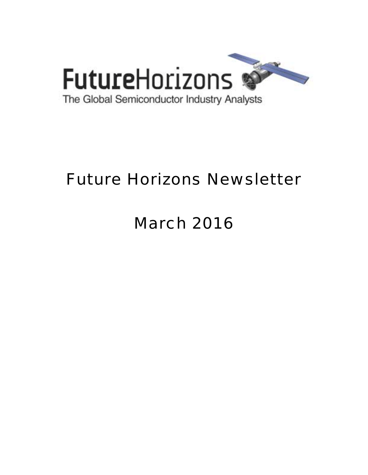

# Future Horizons Newsletter

# March 2016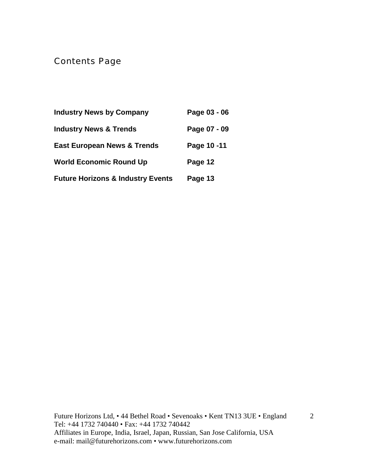Contents Page

| <b>Industry News by Company</b>              | Page 03 - 06 |
|----------------------------------------------|--------------|
| <b>Industry News &amp; Trends</b>            | Page 07 - 09 |
| <b>East European News &amp; Trends</b>       | Page 10-11   |
| <b>World Economic Round Up</b>               | Page 12      |
| <b>Future Horizons &amp; Industry Events</b> | Page 13      |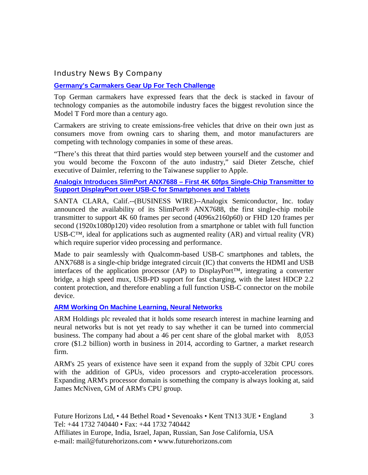#### Industry News By Company

#### **[Germany's Carmakers Gear Up For Tech Challenge](http://www.ft.com/cms/s/0/27d9ead0-dfd1-11e5-b072-006d8d362ba3.html?ftcamp=crm/email//nbe/EuropeBusiness/product#axzz41jzG8CSy)**

Top German carmakers have expressed fears that the deck is stacked in favour of technology companies as the automobile industry faces the biggest revolution since the Model T Ford more than a century ago.

Carmakers are striving to create emissions-free vehicles that drive on their own just as consumers move from owning cars to sharing them, and motor manufacturers are competing with technology companies in some of these areas.

"There's this threat that third parties would step between yourself and the customer and you would become the Foxconn of the auto industry," said Dieter Zetsche, chief executive of Daimler, referring to the Taiwanese supplier to Apple.

#### **[Analogix Introduces SlimPort ANX7688 – First 4K 60fps Single-Chip Transmitter to](http://www.businesswire.com/news/home/20160221005112/en/Analogix-Introduces-SlimPort-ANX7688-%E2%80%93-4K-60fps)  [Support DisplayPort over USB-C for Smartphones and Tablets](http://www.businesswire.com/news/home/20160221005112/en/Analogix-Introduces-SlimPort-ANX7688-%E2%80%93-4K-60fps)**

SANTA CLARA, Calif.--(BUSINESS WIRE)--Analogix Semiconductor, Inc. today announced the availability of its SlimPort® ANX7688, the first single-chip mobile transmitter to support 4K 60 frames per second (4096x2160p60) or FHD 120 frames per second (1920x1080p120) video resolution from a smartphone or tablet with full function USB-C<sup>™</sup>, ideal for applications such as augmented reality  $(AR)$  and virtual reality  $(VR)$ which require superior video processing and performance.

Made to pair seamlessly with Qualcomm-based USB-C smartphones and tablets, the ANX7688 is a single-chip bridge integrated circuit (IC) that converts the HDMI and USB interfaces of the application processor (AP) to DisplayPort™, integrating a converter bridge, a high speed mux, USB-PD support for fast charging, with the latest HDCP 2.2 content protection, and therefore enabling a full function USB-C connector on the mobile device.

#### **[ARM Working On Machine Learning, Neural Networks](http://www.eetindia.co.in/ART_8800720102_1800000_NT_27d81951.HTM)**

ARM Holdings plc revealed that it holds some research interest in machine learning and neural networks but is not yet ready to say whether it can be turned into commercial business. The company had about a 46 per cent share of the global market with 8,053 crore (\$1.2 billion) worth in business in 2014, according to Gartner, a market research firm.

ARM's 25 years of existence have seen it expand from the supply of 32bit CPU cores with the addition of GPUs, video processors and crypto-acceleration processors. Expanding ARM's processor domain is something the company is always looking at, said James McNiven, GM of ARM's CPU group.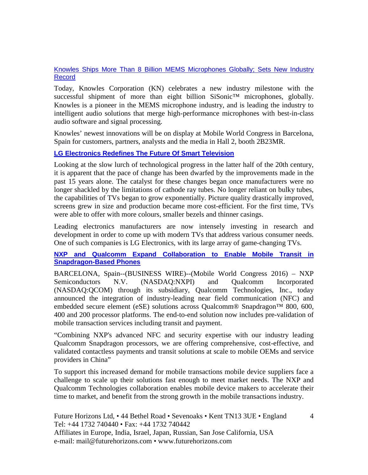#### [Knowles Ships More Than 8 Billion MEMS Microphones Globally; Sets New Industry](http://finance.yahoo.com/news/knowles-ships-more-8-billion-171300464.html)  [Record](http://finance.yahoo.com/news/knowles-ships-more-8-billion-171300464.html)

Today, Knowles Corporation (KN) celebrates a new industry milestone with the successful shipment of more than eight billion SiSonic™ microphones, globally. Knowles is a pioneer in the MEMS microphone industry, and is leading the industry to intelligent audio solutions that merge high-performance microphones with best-in-class audio software and signal processing.

Knowles' newest innovations will be on display at Mobile World Congress in Barcelona, Spain for customers, partners, analysts and the media in Hall 2, booth 2B23MR.

#### **[LG Electronics Redefines The Future Of Smart Television](http://thenationonlineng.net/lg-electronics-redefines-future-smart-television/)**

Looking at the slow lurch of technological progress in the latter half of the 20th century, it is apparent that the pace of change has been dwarfed by the improvements made in the past 15 years alone. The catalyst for these changes began once manufacturers were no longer shackled by the limitations of cathode ray tubes. No longer reliant on bulky tubes, the capabilities of TVs began to grow exponentially. Picture quality drastically improved, screens grew in size and production became more cost-efficient. For the first time, TVs were able to offer with more colours, smaller bezels and thinner casings.

Leading electronics manufacturers are now intensely investing in research and development in order to come up with modern TVs that address various consumer needs. One of such companies is LG Electronics, with its large array of game-changing TVs.

#### **[NXP and Qualcomm Expand Collaboration to Enable Mobile Transit in](http://www.businesswire.com/news/home/20160221005067/en/NXP-Qualcomm-Expand-Collaboration-Enable-Mobile-Transit)  [Snapdragon-Based Phones](http://www.businesswire.com/news/home/20160221005067/en/NXP-Qualcomm-Expand-Collaboration-Enable-Mobile-Transit)**

BARCELONA, Spain--(BUSINESS WIRE)--(Mobile World Congress 2016) – NXP Semiconductors N.V. (NASDAQ:NXPI) and Qualcomm Incorporated (NASDAQ:QCOM) through its subsidiary, Qualcomm Technologies, Inc., today announced the integration of industry-leading near field communication (NFC) and embedded secure element (eSE) solutions across Qualcomm® Snapdragon™ 800, 600, 400 and 200 processor platforms. The end-to-end solution now includes pre-validation of mobile transaction services including transit and payment.

"Combining NXP's advanced NFC and security expertise with our industry leading Qualcomm Snapdragon processors, we are offering comprehensive, cost-effective, and validated contactless payments and transit solutions at scale to mobile OEMs and service providers in China"

To support this increased demand for mobile transactions mobile device suppliers face a challenge to scale up their solutions fast enough to meet market needs. The NXP and Qualcomm Technologies collaboration enables mobile device makers to accelerate their time to market, and benefit from the strong growth in the mobile transactions industry.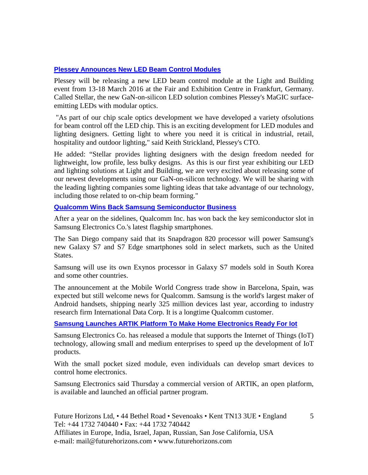#### **[Plessey Announces New LED Beam Control Modules](http://www.compoundsemiconductor.net/article/98919-plessey-announces-new-led-beam-control-modules.html)**

Plessey will be releasing a new LED beam control module at the Light and Building event from 13-18 March 2016 at the Fair and Exhibition Centre in Frankfurt, Germany. Called Stellar, the new GaN-on-silicon LED solution combines Plessey's MaGIC surfaceemitting LEDs with modular optics.

 "As part of our chip scale optics development we have developed a variety ofsolutions for beam control off the LED chip. This is an exciting development for LED modules and lighting designers. Getting light to where you need it is critical in industrial, retail, hospitality and outdoor lighting," said Keith Strickland, Plessey's CTO.

He added: "Stellar provides lighting designers with the design freedom needed for lightweight, low profile, less bulky designs. As this is our first year exhibiting our LED and lighting solutions at Light and Building, we are very excited about releasing some of our newest developments using our GaN-on-silicon technology. We will be sharing with the leading lighting companies some lighting ideas that take advantage of our technology, including those related to on-chip beam forming."

#### **[Qualcomm Wins Back Samsung Semiconductor Business](http://www.latimes.com/business/technology/la-fi-qualcomm-samsung-20160224-story.html)**

After a year on the sidelines, Qualcomm Inc. has won back the key semiconductor slot in Samsung Electronics Co.'s latest flagship smartphones.

The San Diego company said that its Snapdragon 820 processor will power Samsung's new Galaxy S7 and S7 Edge smartphones sold in select markets, such as the United States.

Samsung will use its own Exynos processor in Galaxy S7 models sold in South Korea and some other countries.

The announcement at the Mobile World Congress trade show in Barcelona, Spain, was expected but still welcome news for Qualcomm. Samsung is the world's largest maker of Android handsets, shipping nearly 325 million devices last year, according to industry research firm International Data Corp. It is a longtime Qualcomm customer.

#### **[Samsung Launches ARTIK Platform To Make Home Electronics Ready For Iot](http://pulsenews.co.kr/view.php?sc=30800019&year=2016&no=134613)**

Samsung Electronics Co. has released a module that supports the Internet of Things (IoT) technology, allowing small and medium enterprises to speed up the development of IoT products.

With the small pocket sized module, even individuals can develop smart devices to control home electronics.

Samsung Electronics said Thursday a commercial version of ARTIK, an open platform, is available and launched an official partner program.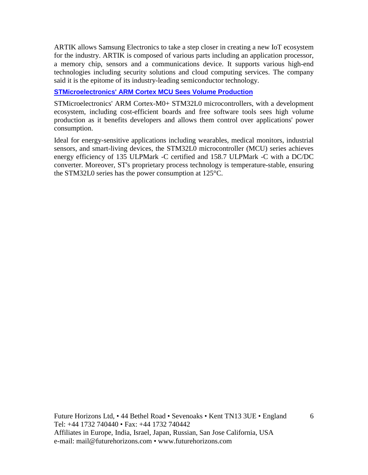ARTIK allows Samsung Electronics to take a step closer in creating a new IoT ecosystem for the industry. ARTIK is composed of various parts including an application processor, a memory chip, sensors and a communications device. It supports various high-end technologies including security solutions and cloud computing services. The company said it is the epitome of its industry-leading semiconductor technology.

#### **[STMicroelectronics' ARM Cortex MCU Sees Volume Production](http://www.eetindia.co.in/ART_8800719886_1800013_NT_2ba6819f.HTM)**

STMicroelectronics' ARM Cortex-M0+ STM32L0 microcontrollers, with a development ecosystem, including cost-efficient boards and free software tools sees high volume production as it benefits developers and allows them control over applications' power consumption.

Ideal for energy-sensitive applications including wearables, medical monitors, industrial sensors, and smart-living devices, the STM32L0 microcontroller (MCU) series achieves energy efficiency of 135 ULPMark -C certified and 158.7 ULPMark -C with a DC/DC converter. Moreover, ST's proprietary process technology is temperature-stable, ensuring the STM32L0 series has the power consumption at 125°C.

Future Horizons Ltd, • 44 Bethel Road • Sevenoaks • Kent TN13 3UE • England Tel: +44 1732 740440 • Fax: +44 1732 740442 Affiliates in Europe, India, Israel, Japan, Russian, San Jose California, USA e-mail: mail@futurehorizons.com • www.futurehorizons.com

6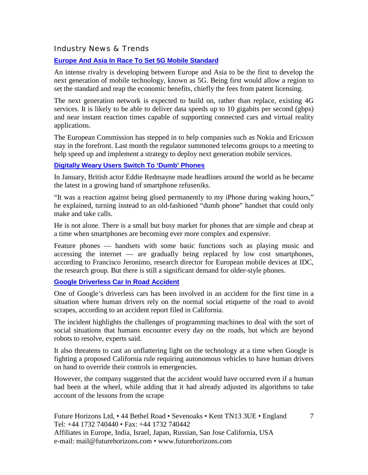#### Industry News & Trends

#### **[Europe And Asia In Race To Set 5G Mobile Standard](http://www.ft.com/cms/s/2/02a7abec-ba0d-11e5-b151-8e15c9a029fb.html#axzz41YG3s9Z8)**

An intense rivalry is developing between Europe and Asia to be the first to develop the next generation of mobile technology, known as 5G. Being first would allow a region to set the standard and reap the economic benefits, chiefly the fees from patent licensing.

The next generation network is expected to build on, rather than replace, existing 4G services. It is likely to be able to deliver data speeds up to 10 gigabits per second (gbps) and near instant reaction times capable of supporting connected cars and virtual reality applications.

The European Commission has stepped in to help companies such as Nokia and Ericsson stay in the forefront. Last month the regulator summoned telecoms groups to a meeting to help speed up and implement a strategy to deploy next generation mobile services.

#### **[Digitally Weary Users Switch To 'Dumb' Phones](http://www.ft.com/cms/s/2/01ba2970-9e70-11e5-8ce1-f6219b685d74.html?ftcamp=engage/email/new/editors_choice/pwe/crm&utm_source=editors_choice&utm_medium=email&utm_term=new&utm_campaign=pwe#axzz41YG3s9Z8)**

In January, British actor Eddie Redmayne made headlines around the world as he became the latest in a growing band of smartphone refuseniks.

"It was a reaction against being glued permanently to my iPhone during waking hours," he explained, turning instead to an old-fashioned "dumb phone" handset that could only make and take calls.

He is not alone. There is a small but busy market for phones that are simple and cheap at a time when smartphones are becoming ever more complex and expensive.

Feature phones — handsets with some basic functions such as playing music and accessing the internet — are gradually being replaced by low cost smartphones, according to Francisco Jeronimo, research director for European mobile devices at IDC, the research group. But there is still a significant demand for older-style phones.

#### **[Google Driverless Car In Road Accident](http://www.ft.com/cms/s/0/341014e8-df4d-11e5-b67f-a61732c1d025.html?ftcamp=crm/email//nbe/USBusiness/product#axzz41YG3s9Z8)**

One of Google's driverless cars has been involved in an accident for the first time in a situation where human drivers rely on the normal social etiquette of the road to avoid scrapes, according to an accident report filed in California.

The incident highlights the challenges of programming machines to deal with the sort of social situations that humans encounter every day on the roads, but which are beyond robots to resolve, experts said.

It also threatens to cast an unflattering light on the technology at a time when Google is fighting a proposed California rule requiring autonomous vehicles to have human drivers on hand to override their controls in emergencies.

However, the company suggested that the accident would have occurred even if a human had been at the wheel, while adding that it had already adjusted its algorithms to take account of the lessons from the scrape

7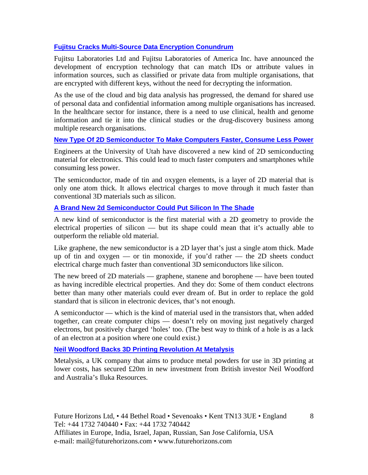#### **[Fujitsu Cracks Multi-Source Data Encryption Conundrum](http://www.eetindia.co.in/ART_8800719702_1800000_NT_b8b1b888.HTM)**

Fujitsu Laboratories Ltd and Fujitsu Laboratories of America Inc. have announced the development of encryption technology that can match IDs or attribute values in information sources, such as classified or private data from multiple organisations, that are encrypted with different keys, without the need for decrypting the information.

As the use of the cloud and big data analysis has progressed, the demand for shared use of personal data and confidential information among multiple organisations has increased. In the healthcare sector for instance, there is a need to use clinical, health and genome information and tie it into the clinical studies or the drug-discovery business among multiple research organisations.

#### **[New Type Of 2D Semiconductor To Make Computers Faster, Consume Less Power](http://www.ibnlive.com/news/tech/new-type-of-2d-semiconductor-to-make-computers-faster-consume-less-power-1203589.html)**

Engineers at the University of Utah have discovered a new kind of 2D semiconducting material for electronics. This could lead to much faster computers and smartphones while consuming less power.

The semiconductor, made of tin and oxygen elements, is a layer of 2D material that is only one atom thick. It allows electrical charges to move through it much faster than conventional 3D materials such as silicon.

#### **[A Brand New 2d Semiconductor Could Put Silicon In The Shade](http://www.gizmodo.com.au/2016/02/a-brand-new-2d-semiconductor-could-put-silicon-in-the-shade/)**

A new kind of semiconductor is the first material with a 2D geometry to provide the electrical properties of silicon — but its shape could mean that it's actually able to outperform the reliable old material.

Like graphene, the new semiconductor is a 2D layer that's just a single atom thick. Made up of tin and oxygen — or tin monoxide, if you'd rather — the 2D sheets conduct electrical charge much faster than conventional 3D semiconductors like silicon.

The new breed of 2D materials — graphene, stanene and borophene — have been touted as having incredible electrical properties. And they do: Some of them conduct electrons better than many other materials could ever dream of. But in order to replace the gold standard that is silicon in electronic devices, that's not enough.

A semiconductor — which is the kind of material used in the transistors that, when added together, can create computer chips — doesn't rely on moving just negatively charged electrons, but positively charged 'holes' too. (The best way to think of a hole is as a lack of an electron at a position where one could exist.)

#### **[Neil Woodford Backs 3D Printing Revolution At Metalysis](http://www.ft.com/cms/s/0/1d008896-d561-11e5-8887-98e7feb46f27.html?ftcamp=crm/email//nbe/UKBusiness/product#axzz40t651giR)**

Metalysis, a UK company that aims to produce metal powders for use in 3D printing at lower costs, has secured £20m in new investment from British investor Neil Woodford and Australia's Iluka Resources.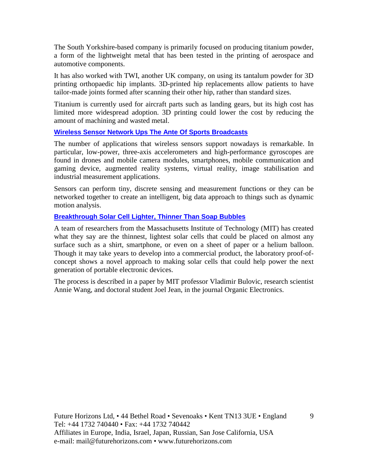The South Yorkshire-based company is primarily focused on producing titanium powder, a form of the lightweight metal that has been tested in the printing of aerospace and automotive components.

It has also worked with TWI, another UK company, on using its tantalum powder for 3D printing orthopaedic hip implants. 3D-printed hip replacements allow patients to have tailor-made joints formed after scanning their other hip, rather than standard sizes.

Titanium is currently used for aircraft parts such as landing gears, but its high cost has limited more widespread adoption. 3D printing could lower the cost by reducing the amount of machining and wasted metal.

#### **[Wireless Sensor Network Ups The Ante Of Sports Broadcasts](http://www.eetindia.co.in/ART_8800720073_1800005_NT_6e248126.HTM)**

The number of applications that wireless sensors support nowadays is remarkable. In particular, low-power, three-axis accelerometers and high-performance gyroscopes are found in drones and mobile camera modules, smartphones, mobile communication and gaming device, augmented reality systems, virtual reality, image stabilisation and industrial measurement applications.

Sensors can perform tiny, discrete sensing and measurement functions or they can be networked together to create an intelligent, big data approach to things such as dynamic motion analysis.

#### **[Breakthrough Solar Cell Lighter, Thinner Than Soap Bubbles](http://www.eetindia.co.in/ART_8800719989_1800008_NT_e8f583a1.HTM)**

A team of researchers from the Massachusetts Institute of Technology (MIT) has created what they say are the thinnest, lightest solar cells that could be placed on almost any surface such as a shirt, smartphone, or even on a sheet of paper or a helium balloon. Though it may take years to develop into a commercial product, the laboratory proof-ofconcept shows a novel approach to making solar cells that could help power the next generation of portable electronic devices.

The process is described in a paper by MIT professor Vladimir Bulovic, research scientist Annie Wang, and doctoral student Joel Jean, in the journal Organic Electronics.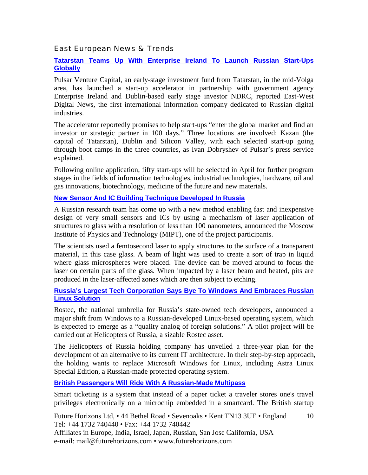#### East European News & Trends

#### **[Tatarstan Teams Up With Enterprise Ireland To Launch Russian Start-Ups](http://marchmontnews.com/Finance-Business/Volga/21587-Tatarstan-teams-up-with-Enterprise-Ireland-launch-Russian-start-ups-globally.html)  [Globally](http://marchmontnews.com/Finance-Business/Volga/21587-Tatarstan-teams-up-with-Enterprise-Ireland-launch-Russian-start-ups-globally.html)**

Pulsar Venture Capital, an early-stage investment fund from Tatarstan, in the mid-Volga area, has launched a start-up accelerator in partnership with government agency Enterprise Ireland and Dublin-based early stage investor NDRC, reported East-West Digital News, the first international information company dedicated to Russian digital industries.

The accelerator reportedly promises to help start-ups "enter the global market and find an investor or strategic partner in 100 days." Three locations are involved: Kazan (the capital of Tatarstan), Dublin and Silicon Valley, with each selected start-up going through boot camps in the three countries, as Ivan Dobryshev of Pulsar's press service explained.

Following online application, fifty start-ups will be selected in April for further program stages in the fields of information technologies, industrial technologies, hardware, oil and gas innovations, biotechnology, medicine of the future and new materials.

#### **[New Sensor And IC Building Technique Developed In Russia](http://www.marchmontnews.com/Technology-Innovation/Central-regions/21557-New-sensor-and-IC-building-technique-developed-Russia.html)**

A Russian research team has come up with a new method enabling fast and inexpensive design of very small sensors and ICs by using a mechanism of laser application of structures to glass with a resolution of less than 100 nanometers, announced the Moscow Institute of Physics and Technology (MIPT), one of the project participants.

The scientists used a femtosecond laser to apply structures to the surface of a transparent material, in this case glass. A beam of light was used to create a sort of trap in liquid where glass microspheres were placed. The device can be moved around to focus the laser on certain parts of the glass. When impacted by a laser beam and heated, pits are produced in the laser-affected zones which are then subject to etching.

#### **[Russia's Largest Tech Corporation Says Bye To Windows And Embraces Russian](http://www.marchmontnews.com/Technology-Innovation/Central-regions/21580-Russias-largest-tech-corporation-says-bye-Windows-and-embraces-Russian-Linux-solution.html)  [Linux Solution](http://www.marchmontnews.com/Technology-Innovation/Central-regions/21580-Russias-largest-tech-corporation-says-bye-Windows-and-embraces-Russian-Linux-solution.html)**

Rostec, the national umbrella for Russia's state-owned tech developers, announced a major shift from Windows to a Russian-developed Linux-based operating system, which is expected to emerge as a "quality analog of foreign solutions." A pilot project will be carried out at Helicopters of Russia, a sizable Rostec asset.

The Helicopters of Russia holding company has unveiled a three-year plan for the development of an alternative to its current IT architecture. In their step-by-step approach, the holding wants to replace Microsoft Windows for Linux, including Astra Linux Special Edition, a Russian-made protected operating system.

#### **[British Passengers Will Ride With A Russian-Made Multipass](http://rbth.com/science_and_tech/2016/02/19/british-passengers-will-ride-with-a-russian-made-multipass_568541)**

Smart ticketing is a system that instead of a paper ticket a traveler stores one's travel privileges electronically on a microchip embedded in a smartcard. The British startup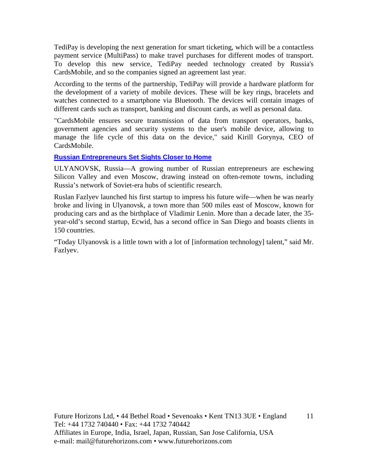TediPay is developing the next generation for smart ticketing, which will be a contactless payment service (MultiPass) to make travel purchases for different modes of transport. To develop this new service, TediPay needed technology created by Russia's CardsMobile, and so the companies signed an agreement last year.

According to the terms of the partnership, TediPay will provide a hardware platform for the development of a variety of mobile devices. These will be key rings, bracelets and watches connected to a smartphone via Bluetooth. The devices will contain images of different cards such as transport, banking and discount cards, as well as personal data.

"CardsMobile ensures secure transmission of data from transport operators, banks, government agencies and security systems to the user's mobile device, allowing to manage the life cycle of this data on the device," said Kirill Gorynya, CEO of CardsMobile.

#### **[Russian Entrepreneurs Set Sights Closer to Home](http://www.wsj.com/articles/russian-entrepreneurs-set-sights-closer-to-home-1457312029?tesla=y&cb=logged0.8081025047550118)**

ULYANOVSK, Russia—A growing number of Russian entrepreneurs are eschewing Silicon Valley and even Moscow, drawing instead on often-remote towns, including Russia's network of Soviet-era hubs of scientific research.

Ruslan Fazlyev launched his first startup to impress his future wife—when he was nearly broke and living in Ulyanovsk, a town more than 500 miles east of Moscow, known for producing cars and as the birthplace of Vladimir Lenin. More than a decade later, the 35 year-old's second startup, Ecwid, has a second office in San Diego and boasts clients in 150 countries.

"Today Ulyanovsk is a little town with a lot of [information technology] talent," said Mr. Fazlyev.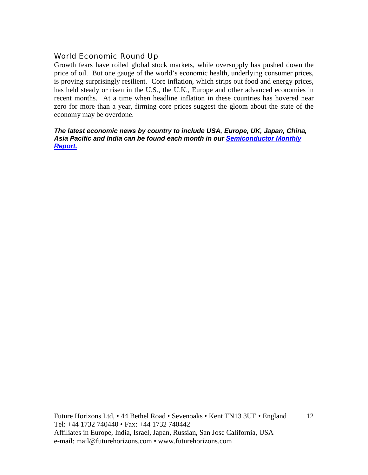#### World Economic Round Up

Growth fears have roiled global stock markets, while oversupply has pushed down the price of oil. But one gauge of the world's economic health, underlying consumer prices, is proving surprisingly resilient. Core inflation, which strips out food and energy prices, has held steady or risen in the U.S., the U.K., Europe and other advanced economies in recent months. At a time when headline inflation in these countries has hovered near zero for more than a year, firming core prices suggest the gloom about the state of the economy may be overdone.

*The latest economic news by country to include USA, Europe, UK, Japan, China, Asia Pacific and India can be found each month in our [Semiconductor Monthly](http://www.futurehorizons.com/page/18/Global-Semiconductor-Report)  [Report.](http://www.futurehorizons.com/page/18/Global-Semiconductor-Report)*